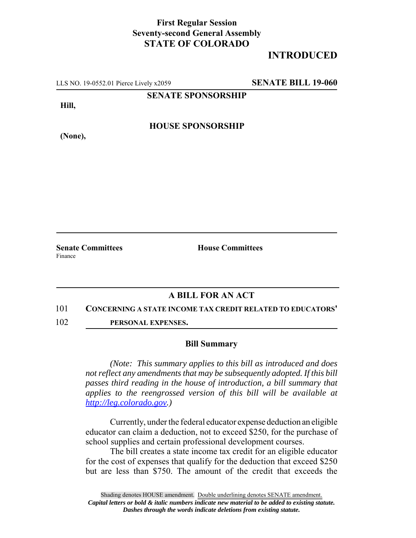## **First Regular Session Seventy-second General Assembly STATE OF COLORADO**

# **INTRODUCED**

LLS NO. 19-0552.01 Pierce Lively x2059 **SENATE BILL 19-060**

**SENATE SPONSORSHIP**

**Hill,**

**HOUSE SPONSORSHIP**

**(None),**

**Senate Committees House Committees** Finance

### **A BILL FOR AN ACT**

### 101 **CONCERNING A STATE INCOME TAX CREDIT RELATED TO EDUCATORS'**

102 **PERSONAL EXPENSES.**

### **Bill Summary**

*(Note: This summary applies to this bill as introduced and does not reflect any amendments that may be subsequently adopted. If this bill passes third reading in the house of introduction, a bill summary that applies to the reengrossed version of this bill will be available at http://leg.colorado.gov.)*

Currently, under the federal educator expense deduction an eligible educator can claim a deduction, not to exceed \$250, for the purchase of school supplies and certain professional development courses.

The bill creates a state income tax credit for an eligible educator for the cost of expenses that qualify for the deduction that exceed \$250 but are less than \$750. The amount of the credit that exceeds the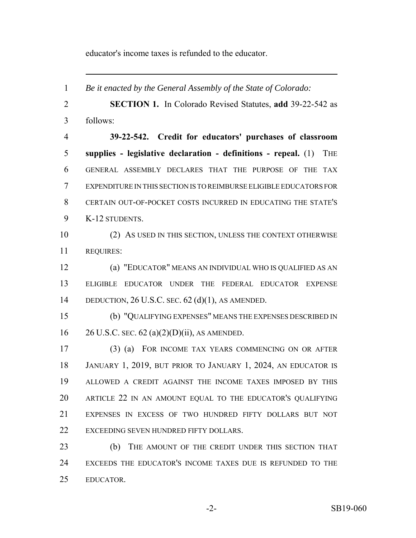educator's income taxes is refunded to the educator.

 *Be it enacted by the General Assembly of the State of Colorado:* **SECTION 1.** In Colorado Revised Statutes, **add** 39-22-542 as follows: **39-22-542. Credit for educators' purchases of classroom supplies - legislative declaration - definitions - repeal.** (1) THE GENERAL ASSEMBLY DECLARES THAT THE PURPOSE OF THE TAX EXPENDITURE IN THIS SECTION IS TO REIMBURSE ELIGIBLE EDUCATORS FOR CERTAIN OUT-OF-POCKET COSTS INCURRED IN EDUCATING THE STATE'S K-12 STUDENTS. (2) AS USED IN THIS SECTION, UNLESS THE CONTEXT OTHERWISE REQUIRES: (a) "EDUCATOR" MEANS AN INDIVIDUAL WHO IS QUALIFIED AS AN ELIGIBLE EDUCATOR UNDER THE FEDERAL EDUCATOR EXPENSE DEDUCTION, 26 U.S.C. SEC. 62 (d)(1), AS AMENDED. (b) "QUALIFYING EXPENSES" MEANS THE EXPENSES DESCRIBED IN 26 U.S.C. SEC. 62 (a)(2)(D)(ii), AS AMENDED. (3) (a) FOR INCOME TAX YEARS COMMENCING ON OR AFTER JANUARY 1, 2019, BUT PRIOR TO JANUARY 1, 2024, AN EDUCATOR IS ALLOWED A CREDIT AGAINST THE INCOME TAXES IMPOSED BY THIS ARTICLE 22 IN AN AMOUNT EQUAL TO THE EDUCATOR'S QUALIFYING EXPENSES IN EXCESS OF TWO HUNDRED FIFTY DOLLARS BUT NOT EXCEEDING SEVEN HUNDRED FIFTY DOLLARS. (b) THE AMOUNT OF THE CREDIT UNDER THIS SECTION THAT EXCEEDS THE EDUCATOR'S INCOME TAXES DUE IS REFUNDED TO THE EDUCATOR.